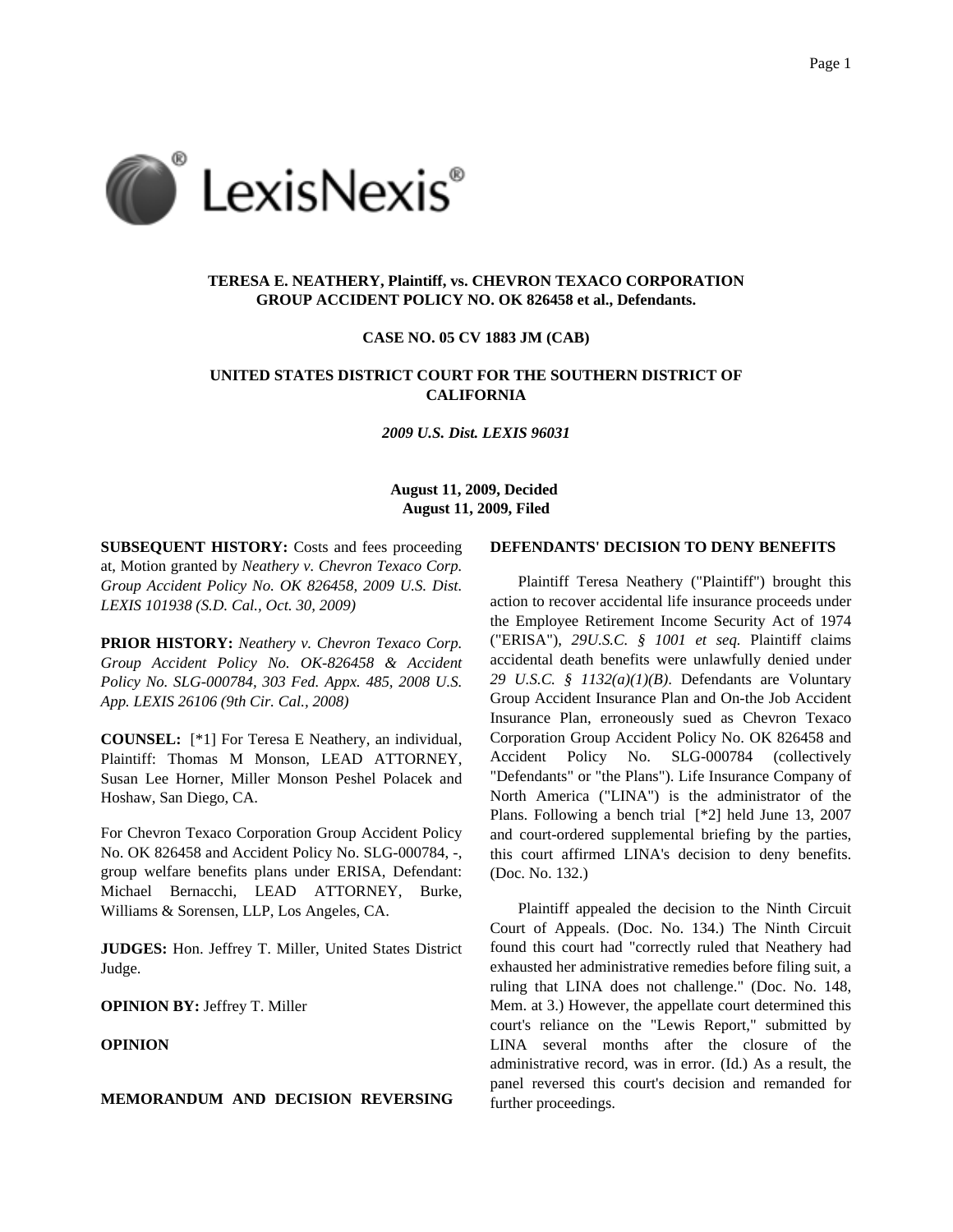

# **TERESA E. NEATHERY, Plaintiff, vs. CHEVRON TEXACO CORPORATION GROUP ACCIDENT POLICY NO. OK 826458 et al., Defendants.**

#### **CASE NO. 05 CV 1883 JM (CAB)**

# **UNITED STATES DISTRICT COURT FOR THE SOUTHERN DISTRICT OF CALIFORNIA**

*2009 U.S. Dist. LEXIS 96031*

# **August 11, 2009, Decided August 11, 2009, Filed**

**SUBSEQUENT HISTORY:** Costs and fees proceeding at, Motion granted by *Neathery v. Chevron Texaco Corp. Group Accident Policy No. OK 826458, 2009 U.S. Dist. LEXIS 101938 (S.D. Cal., Oct. 30, 2009)*

**PRIOR HISTORY:** *Neathery v. Chevron Texaco Corp. Group Accident Policy No. OK-826458 & Accident Policy No. SLG-000784, 303 Fed. Appx. 485, 2008 U.S. App. LEXIS 26106 (9th Cir. Cal., 2008)*

**COUNSEL:** [\*1] For Teresa E Neathery, an individual, Plaintiff: Thomas M Monson, LEAD ATTORNEY, Susan Lee Horner, Miller Monson Peshel Polacek and Hoshaw, San Diego, CA.

For Chevron Texaco Corporation Group Accident Policy No. OK 826458 and Accident Policy No. SLG-000784, -, group welfare benefits plans under ERISA, Defendant: Michael Bernacchi, LEAD ATTORNEY, Burke, Williams & Sorensen, LLP, Los Angeles, CA.

**JUDGES:** Hon. Jeffrey T. Miller, United States District Judge.

**OPINION BY:** Jeffrey T. Miller

# **OPINION**

## **MEMORANDUM AND DECISION REVERSING**

## **DEFENDANTS' DECISION TO DENY BENEFITS**

Plaintiff Teresa Neathery ("Plaintiff") brought this action to recover accidental life insurance proceeds under the Employee Retirement Income Security Act of 1974 ("ERISA"), *29U.S.C. § 1001 et seq.* Plaintiff claims accidental death benefits were unlawfully denied under *29 U.S.C. § 1132(a)(1)(B)*. Defendants are Voluntary Group Accident Insurance Plan and On-the Job Accident Insurance Plan, erroneously sued as Chevron Texaco Corporation Group Accident Policy No. OK 826458 and Accident Policy No. SLG-000784 (collectively "Defendants" or "the Plans"). Life Insurance Company of North America ("LINA") is the administrator of the Plans. Following a bench trial [\*2] held June 13, 2007 and court-ordered supplemental briefing by the parties, this court affirmed LINA's decision to deny benefits. (Doc. No. 132.)

Plaintiff appealed the decision to the Ninth Circuit Court of Appeals. (Doc. No. 134.) The Ninth Circuit found this court had "correctly ruled that Neathery had exhausted her administrative remedies before filing suit, a ruling that LINA does not challenge." (Doc. No. 148, Mem. at 3.) However, the appellate court determined this court's reliance on the "Lewis Report," submitted by LINA several months after the closure of the administrative record, was in error. (Id.) As a result, the panel reversed this court's decision and remanded for further proceedings.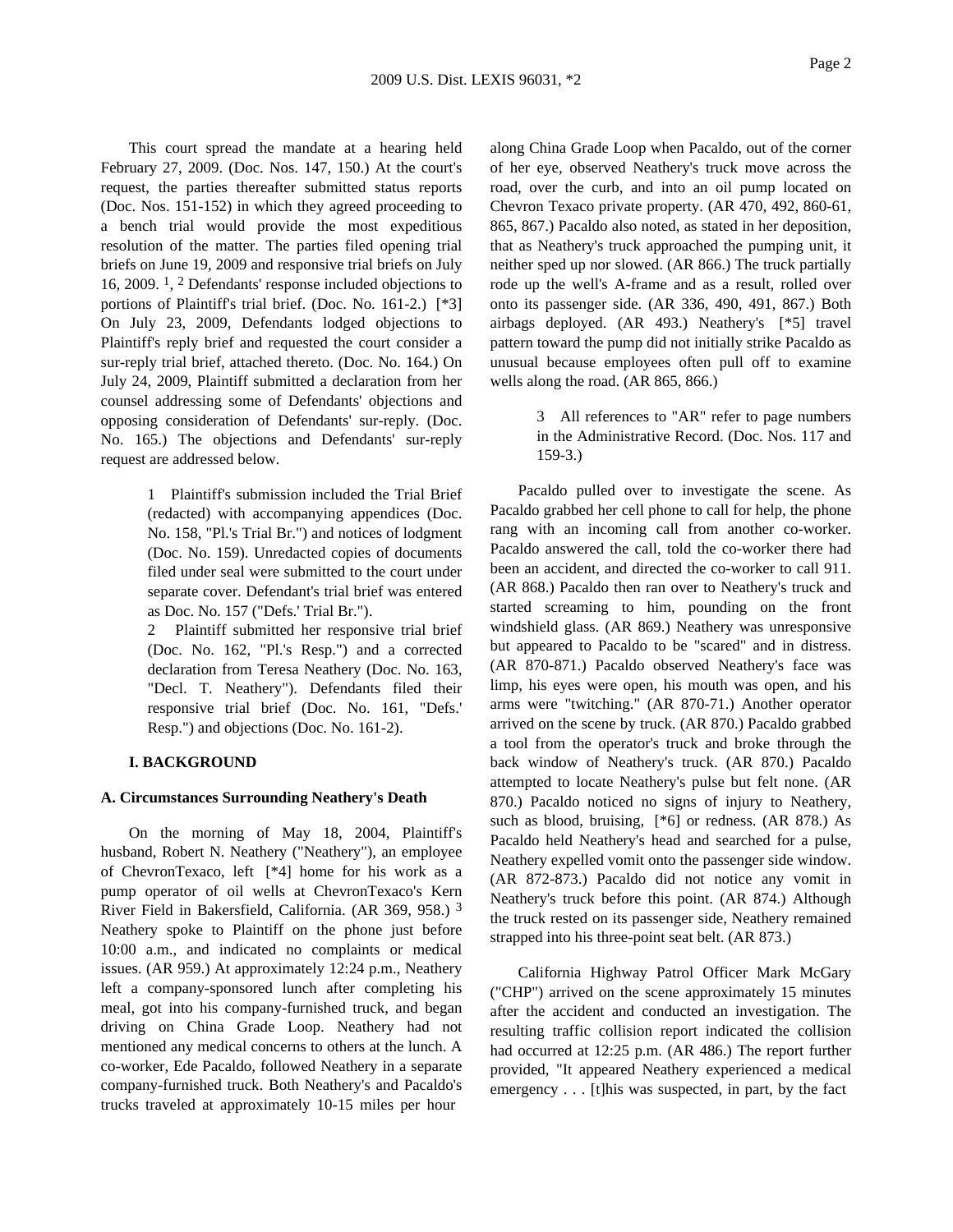This court spread the mandate at a hearing held February 27, 2009. (Doc. Nos. 147, 150.) At the court's request, the parties thereafter submitted status reports (Doc. Nos. 151-152) in which they agreed proceeding to a bench trial would provide the most expeditious resolution of the matter. The parties filed opening trial briefs on June 19, 2009 and responsive trial briefs on July 16, 2009. 1, 2 Defendants' response included objections to portions of Plaintiff's trial brief. (Doc. No. 161-2.) [\*3] On July 23, 2009, Defendants lodged objections to Plaintiff's reply brief and requested the court consider a sur-reply trial brief, attached thereto. (Doc. No. 164.) On July 24, 2009, Plaintiff submitted a declaration from her counsel addressing some of Defendants' objections and opposing consideration of Defendants' sur-reply. (Doc. No. 165.) The objections and Defendants' sur-reply request are addressed below.

> 1 Plaintiff's submission included the Trial Brief (redacted) with accompanying appendices (Doc. No. 158, "Pl.'s Trial Br.") and notices of lodgment (Doc. No. 159). Unredacted copies of documents filed under seal were submitted to the court under separate cover. Defendant's trial brief was entered as Doc. No. 157 ("Defs.' Trial Br.").

> 2 Plaintiff submitted her responsive trial brief (Doc. No. 162, "Pl.'s Resp.") and a corrected declaration from Teresa Neathery (Doc. No. 163, "Decl. T. Neathery"). Defendants filed their responsive trial brief (Doc. No. 161, "Defs.' Resp.") and objections (Doc. No. 161-2).

# **I. BACKGROUND**

### **A. Circumstances Surrounding Neathery's Death**

On the morning of May 18, 2004, Plaintiff's husband, Robert N. Neathery ("Neathery"), an employee of ChevronTexaco, left [\*4] home for his work as a pump operator of oil wells at ChevronTexaco's Kern River Field in Bakersfield, California. (AR 369, 958.) 3 Neathery spoke to Plaintiff on the phone just before 10:00 a.m., and indicated no complaints or medical issues. (AR 959.) At approximately 12:24 p.m., Neathery left a company-sponsored lunch after completing his meal, got into his company-furnished truck, and began driving on China Grade Loop. Neathery had not mentioned any medical concerns to others at the lunch. A co-worker, Ede Pacaldo, followed Neathery in a separate company-furnished truck. Both Neathery's and Pacaldo's trucks traveled at approximately 10-15 miles per hour

along China Grade Loop when Pacaldo, out of the corner of her eye, observed Neathery's truck move across the road, over the curb, and into an oil pump located on Chevron Texaco private property. (AR 470, 492, 860-61, 865, 867.) Pacaldo also noted, as stated in her deposition, that as Neathery's truck approached the pumping unit, it neither sped up nor slowed. (AR 866.) The truck partially rode up the well's A-frame and as a result, rolled over onto its passenger side. (AR 336, 490, 491, 867.) Both airbags deployed. (AR 493.) Neathery's [\*5] travel pattern toward the pump did not initially strike Pacaldo as unusual because employees often pull off to examine wells along the road. (AR 865, 866.)

> 3 All references to "AR" refer to page numbers in the Administrative Record. (Doc. Nos. 117 and 159-3.)

Pacaldo pulled over to investigate the scene. As Pacaldo grabbed her cell phone to call for help, the phone rang with an incoming call from another co-worker. Pacaldo answered the call, told the co-worker there had been an accident, and directed the co-worker to call 911. (AR 868.) Pacaldo then ran over to Neathery's truck and started screaming to him, pounding on the front windshield glass. (AR 869.) Neathery was unresponsive but appeared to Pacaldo to be "scared" and in distress. (AR 870-871.) Pacaldo observed Neathery's face was limp, his eyes were open, his mouth was open, and his arms were "twitching." (AR 870-71.) Another operator arrived on the scene by truck. (AR 870.) Pacaldo grabbed a tool from the operator's truck and broke through the back window of Neathery's truck. (AR 870.) Pacaldo attempted to locate Neathery's pulse but felt none. (AR 870.) Pacaldo noticed no signs of injury to Neathery, such as blood, bruising, [\*6] or redness. (AR 878.) As Pacaldo held Neathery's head and searched for a pulse, Neathery expelled vomit onto the passenger side window. (AR 872-873.) Pacaldo did not notice any vomit in Neathery's truck before this point. (AR 874.) Although the truck rested on its passenger side, Neathery remained strapped into his three-point seat belt. (AR 873.)

California Highway Patrol Officer Mark McGary ("CHP") arrived on the scene approximately 15 minutes after the accident and conducted an investigation. The resulting traffic collision report indicated the collision had occurred at 12:25 p.m. (AR 486.) The report further provided, "It appeared Neathery experienced a medical emergency . . . [t]his was suspected, in part, by the fact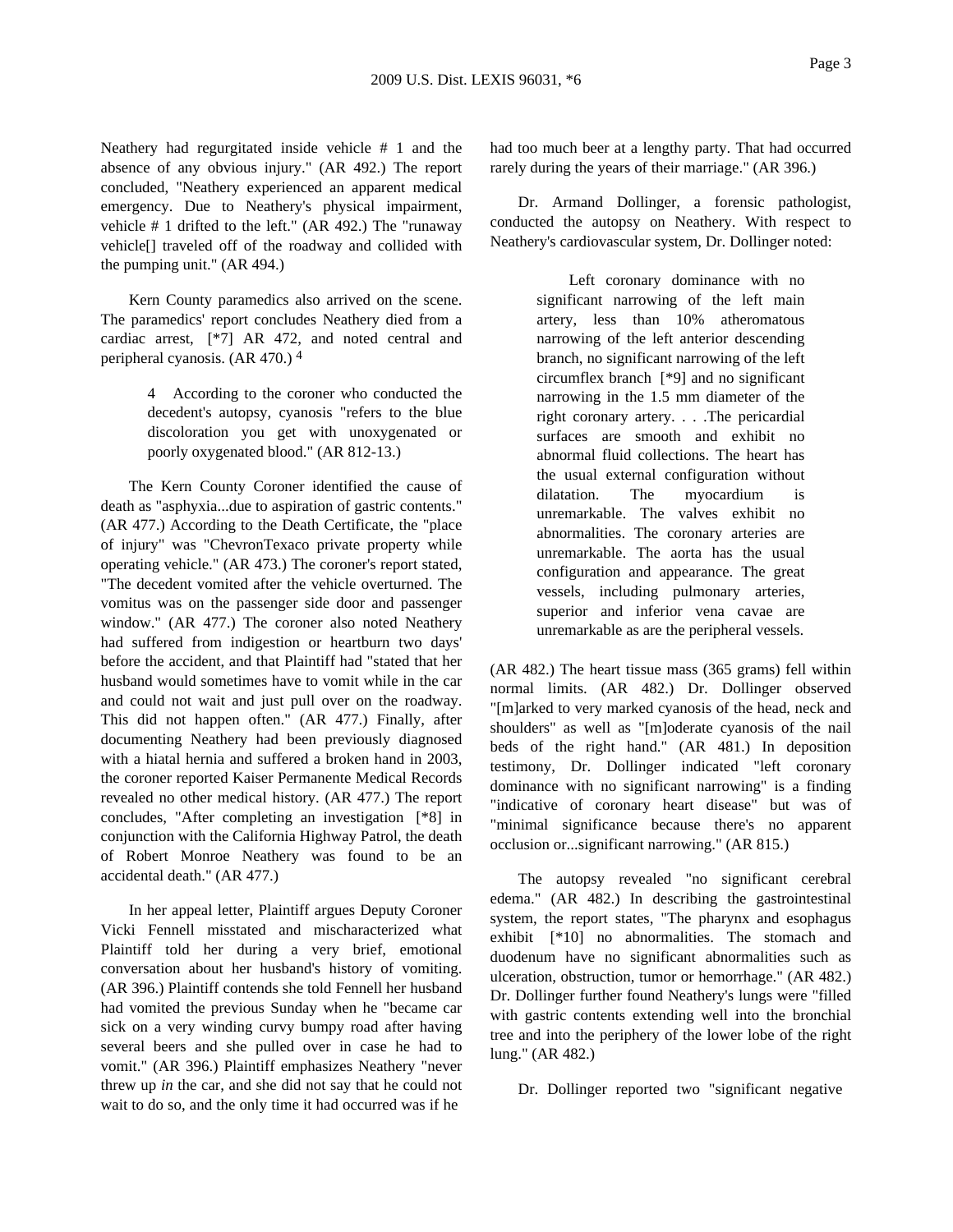Neathery had regurgitated inside vehicle # 1 and the absence of any obvious injury." (AR 492.) The report concluded, "Neathery experienced an apparent medical emergency. Due to Neathery's physical impairment, vehicle # 1 drifted to the left." (AR 492.) The "runaway vehicle[] traveled off of the roadway and collided with the pumping unit." (AR 494.)

Kern County paramedics also arrived on the scene. The paramedics' report concludes Neathery died from a cardiac arrest, [\*7] AR 472, and noted central and peripheral cyanosis. (AR 470.) 4

> 4 According to the coroner who conducted the decedent's autopsy, cyanosis "refers to the blue discoloration you get with unoxygenated or poorly oxygenated blood." (AR 812-13.)

The Kern County Coroner identified the cause of death as "asphyxia...due to aspiration of gastric contents." (AR 477.) According to the Death Certificate, the "place of injury" was "ChevronTexaco private property while operating vehicle." (AR 473.) The coroner's report stated, "The decedent vomited after the vehicle overturned. The vomitus was on the passenger side door and passenger window." (AR 477.) The coroner also noted Neathery had suffered from indigestion or heartburn two days' before the accident, and that Plaintiff had "stated that her husband would sometimes have to vomit while in the car and could not wait and just pull over on the roadway. This did not happen often." (AR 477.) Finally, after documenting Neathery had been previously diagnosed with a hiatal hernia and suffered a broken hand in 2003, the coroner reported Kaiser Permanente Medical Records revealed no other medical history. (AR 477.) The report concludes, "After completing an investigation [\*8] in conjunction with the California Highway Patrol, the death of Robert Monroe Neathery was found to be an accidental death." (AR 477.)

In her appeal letter, Plaintiff argues Deputy Coroner Vicki Fennell misstated and mischaracterized what Plaintiff told her during a very brief, emotional conversation about her husband's history of vomiting. (AR 396.) Plaintiff contends she told Fennell her husband had vomited the previous Sunday when he "became car sick on a very winding curvy bumpy road after having several beers and she pulled over in case he had to vomit." (AR 396.) Plaintiff emphasizes Neathery "never threw up *in* the car, and she did not say that he could not wait to do so, and the only time it had occurred was if he

had too much beer at a lengthy party. That had occurred rarely during the years of their marriage." (AR 396.)

Dr. Armand Dollinger, a forensic pathologist, conducted the autopsy on Neathery. With respect to Neathery's cardiovascular system, Dr. Dollinger noted:

> Left coronary dominance with no significant narrowing of the left main artery, less than 10% atheromatous narrowing of the left anterior descending branch, no significant narrowing of the left circumflex branch [\*9] and no significant narrowing in the 1.5 mm diameter of the right coronary artery. . . .The pericardial surfaces are smooth and exhibit no abnormal fluid collections. The heart has the usual external configuration without dilatation. The myocardium is unremarkable. The valves exhibit no abnormalities. The coronary arteries are unremarkable. The aorta has the usual configuration and appearance. The great vessels, including pulmonary arteries, superior and inferior vena cavae are unremarkable as are the peripheral vessels.

(AR 482.) The heart tissue mass (365 grams) fell within normal limits. (AR 482.) Dr. Dollinger observed "[m]arked to very marked cyanosis of the head, neck and shoulders" as well as "[m]oderate cyanosis of the nail beds of the right hand." (AR 481.) In deposition testimony, Dr. Dollinger indicated "left coronary dominance with no significant narrowing" is a finding "indicative of coronary heart disease" but was of "minimal significance because there's no apparent occlusion or...significant narrowing." (AR 815.)

The autopsy revealed "no significant cerebral edema." (AR 482.) In describing the gastrointestinal system, the report states, "The pharynx and esophagus exhibit [\*10] no abnormalities. The stomach and duodenum have no significant abnormalities such as ulceration, obstruction, tumor or hemorrhage." (AR 482.) Dr. Dollinger further found Neathery's lungs were "filled with gastric contents extending well into the bronchial tree and into the periphery of the lower lobe of the right lung." (AR 482.)

Dr. Dollinger reported two "significant negative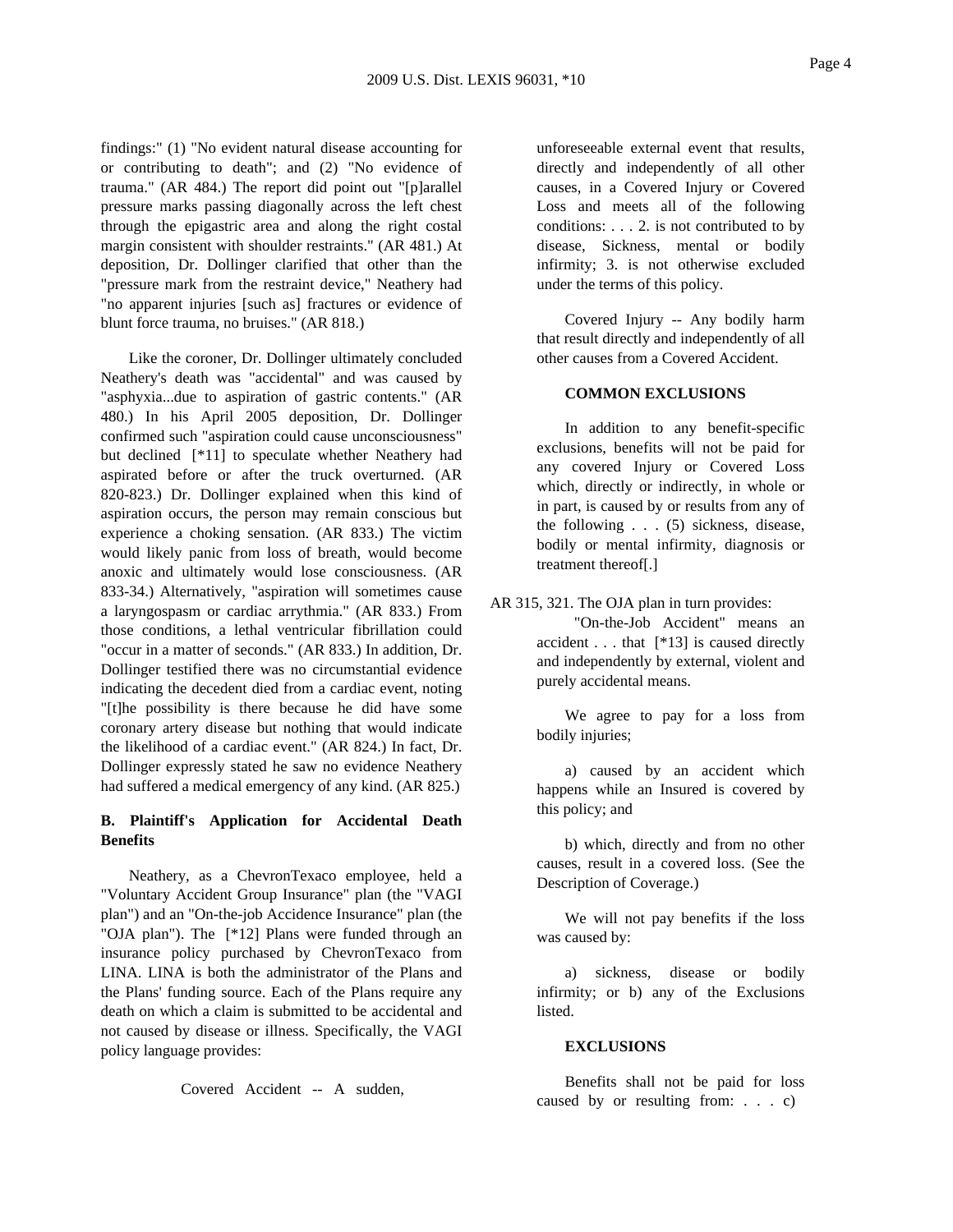findings:" (1) "No evident natural disease accounting for or contributing to death"; and (2) "No evidence of trauma." (AR 484.) The report did point out "[p]arallel pressure marks passing diagonally across the left chest through the epigastric area and along the right costal margin consistent with shoulder restraints." (AR 481.) At deposition, Dr. Dollinger clarified that other than the "pressure mark from the restraint device," Neathery had "no apparent injuries [such as] fractures or evidence of blunt force trauma, no bruises." (AR 818.)

Like the coroner, Dr. Dollinger ultimately concluded Neathery's death was "accidental" and was caused by "asphyxia...due to aspiration of gastric contents." (AR 480.) In his April 2005 deposition, Dr. Dollinger confirmed such "aspiration could cause unconsciousness" but declined [\*11] to speculate whether Neathery had aspirated before or after the truck overturned. (AR 820-823.) Dr. Dollinger explained when this kind of aspiration occurs, the person may remain conscious but experience a choking sensation. (AR 833.) The victim would likely panic from loss of breath, would become anoxic and ultimately would lose consciousness. (AR 833-34.) Alternatively, "aspiration will sometimes cause a laryngospasm or cardiac arrythmia." (AR 833.) From those conditions, a lethal ventricular fibrillation could "occur in a matter of seconds." (AR 833.) In addition, Dr. Dollinger testified there was no circumstantial evidence indicating the decedent died from a cardiac event, noting "[t]he possibility is there because he did have some coronary artery disease but nothing that would indicate the likelihood of a cardiac event." (AR 824.) In fact, Dr. Dollinger expressly stated he saw no evidence Neathery had suffered a medical emergency of any kind. (AR 825.)

# **B. Plaintiff's Application for Accidental Death Benefits**

Neathery, as a ChevronTexaco employee, held a "Voluntary Accident Group Insurance" plan (the "VAGI plan") and an "On-the-job Accidence Insurance" plan (the "OJA plan"). The [\*12] Plans were funded through an insurance policy purchased by ChevronTexaco from LINA. LINA is both the administrator of the Plans and the Plans' funding source. Each of the Plans require any death on which a claim is submitted to be accidental and not caused by disease or illness. Specifically, the VAGI policy language provides:

Covered Accident -- A sudden,

unforeseeable external event that results, directly and independently of all other causes, in a Covered Injury or Covered Loss and meets all of the following conditions: . . . 2. is not contributed to by disease, Sickness, mental or bodily infirmity; 3. is not otherwise excluded under the terms of this policy.

Covered Injury -- Any bodily harm that result directly and independently of all other causes from a Covered Accident.

# **COMMON EXCLUSIONS**

In addition to any benefit-specific exclusions, benefits will not be paid for any covered Injury or Covered Loss which, directly or indirectly, in whole or in part, is caused by or results from any of the following . . . (5) sickness, disease, bodily or mental infirmity, diagnosis or treatment thereof[.]

AR 315, 321. The OJA plan in turn provides:

"On-the-Job Accident" means an accident . . . that [\*13] is caused directly and independently by external, violent and purely accidental means.

We agree to pay for a loss from bodily injuries;

a) caused by an accident which happens while an Insured is covered by this policy; and

b) which, directly and from no other causes, result in a covered loss. (See the Description of Coverage.)

We will not pay benefits if the loss was caused by:

a) sickness, disease or bodily infirmity; or b) any of the Exclusions listed.

#### **EXCLUSIONS**

Benefits shall not be paid for loss caused by or resulting from: . . . c)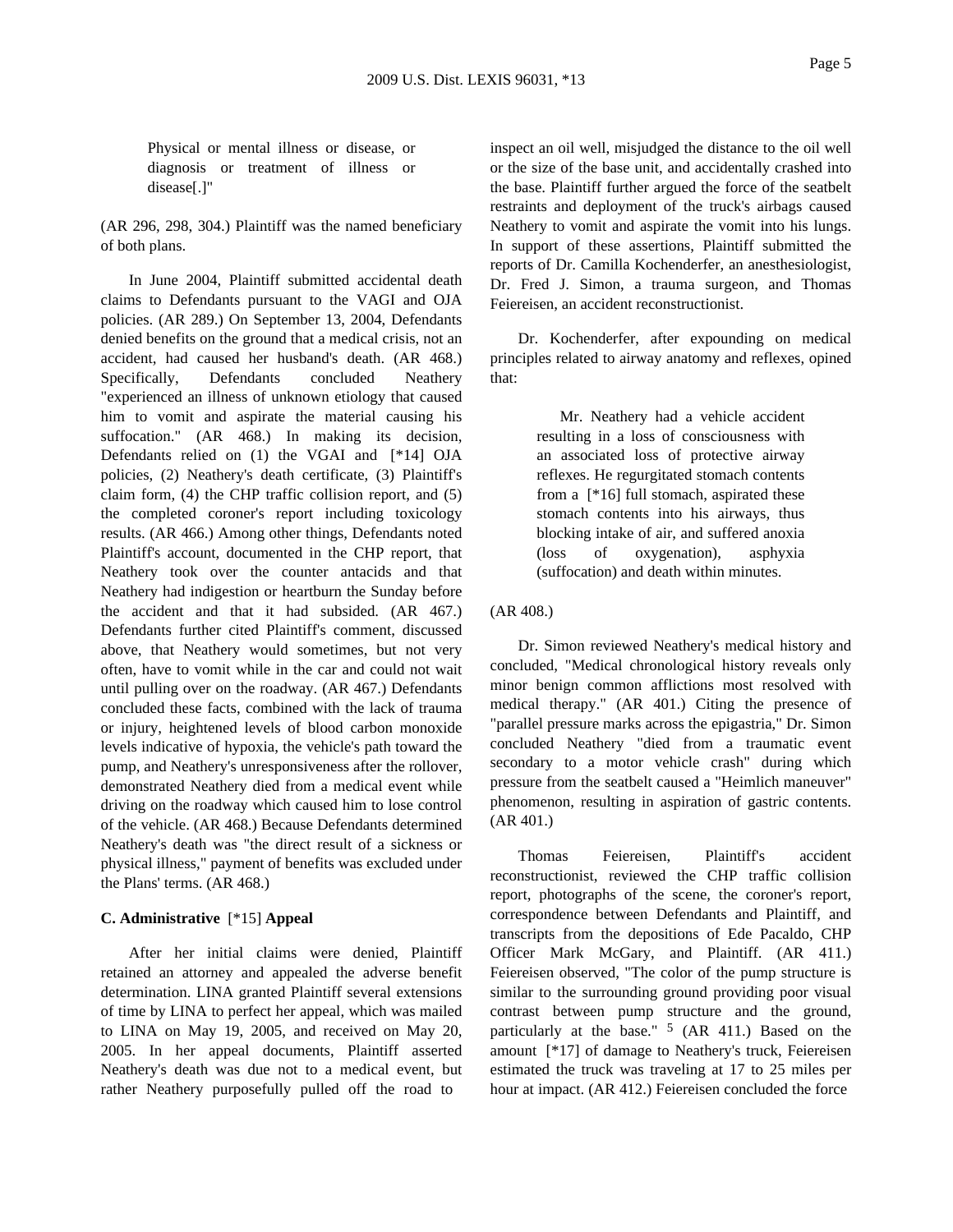Physical or mental illness or disease, or diagnosis or treatment of illness or disease[.]"

(AR 296, 298, 304.) Plaintiff was the named beneficiary of both plans.

In June 2004, Plaintiff submitted accidental death claims to Defendants pursuant to the VAGI and OJA policies. (AR 289.) On September 13, 2004, Defendants denied benefits on the ground that a medical crisis, not an accident, had caused her husband's death. (AR 468.) Specifically, Defendants concluded Neathery "experienced an illness of unknown etiology that caused him to vomit and aspirate the material causing his suffocation." (AR 468.) In making its decision, Defendants relied on (1) the VGAI and [\*14] OJA policies, (2) Neathery's death certificate, (3) Plaintiff's claim form, (4) the CHP traffic collision report, and (5) the completed coroner's report including toxicology results. (AR 466.) Among other things, Defendants noted Plaintiff's account, documented in the CHP report, that Neathery took over the counter antacids and that Neathery had indigestion or heartburn the Sunday before the accident and that it had subsided. (AR 467.) Defendants further cited Plaintiff's comment, discussed above, that Neathery would sometimes, but not very often, have to vomit while in the car and could not wait until pulling over on the roadway. (AR 467.) Defendants concluded these facts, combined with the lack of trauma or injury, heightened levels of blood carbon monoxide levels indicative of hypoxia, the vehicle's path toward the pump, and Neathery's unresponsiveness after the rollover, demonstrated Neathery died from a medical event while driving on the roadway which caused him to lose control of the vehicle. (AR 468.) Because Defendants determined Neathery's death was "the direct result of a sickness or physical illness," payment of benefits was excluded under the Plans' terms. (AR 468.)

### **C. Administrative** [\*15] **Appeal**

After her initial claims were denied, Plaintiff retained an attorney and appealed the adverse benefit determination. LINA granted Plaintiff several extensions of time by LINA to perfect her appeal, which was mailed to LINA on May 19, 2005, and received on May 20, 2005. In her appeal documents, Plaintiff asserted Neathery's death was due not to a medical event, but rather Neathery purposefully pulled off the road to

inspect an oil well, misjudged the distance to the oil well or the size of the base unit, and accidentally crashed into the base. Plaintiff further argued the force of the seatbelt restraints and deployment of the truck's airbags caused Neathery to vomit and aspirate the vomit into his lungs. In support of these assertions, Plaintiff submitted the reports of Dr. Camilla Kochenderfer, an anesthesiologist, Dr. Fred J. Simon, a trauma surgeon, and Thomas Feiereisen, an accident reconstructionist.

Dr. Kochenderfer, after expounding on medical principles related to airway anatomy and reflexes, opined that:

> Mr. Neathery had a vehicle accident resulting in a loss of consciousness with an associated loss of protective airway reflexes. He regurgitated stomach contents from a [\*16] full stomach, aspirated these stomach contents into his airways, thus blocking intake of air, and suffered anoxia (loss of oxygenation), asphyxia (suffocation) and death within minutes.

# (AR 408.)

Dr. Simon reviewed Neathery's medical history and concluded, "Medical chronological history reveals only minor benign common afflictions most resolved with medical therapy." (AR 401.) Citing the presence of "parallel pressure marks across the epigastria," Dr. Simon concluded Neathery "died from a traumatic event secondary to a motor vehicle crash" during which pressure from the seatbelt caused a "Heimlich maneuver" phenomenon, resulting in aspiration of gastric contents. (AR 401.)

Thomas Feiereisen, Plaintiff's accident reconstructionist, reviewed the CHP traffic collision report, photographs of the scene, the coroner's report, correspondence between Defendants and Plaintiff, and transcripts from the depositions of Ede Pacaldo, CHP Officer Mark McGary, and Plaintiff. (AR 411.) Feiereisen observed, "The color of the pump structure is similar to the surrounding ground providing poor visual contrast between pump structure and the ground, particularly at the base." 5 (AR 411.) Based on the amount [\*17] of damage to Neathery's truck, Feiereisen estimated the truck was traveling at 17 to 25 miles per hour at impact. (AR 412.) Feiereisen concluded the force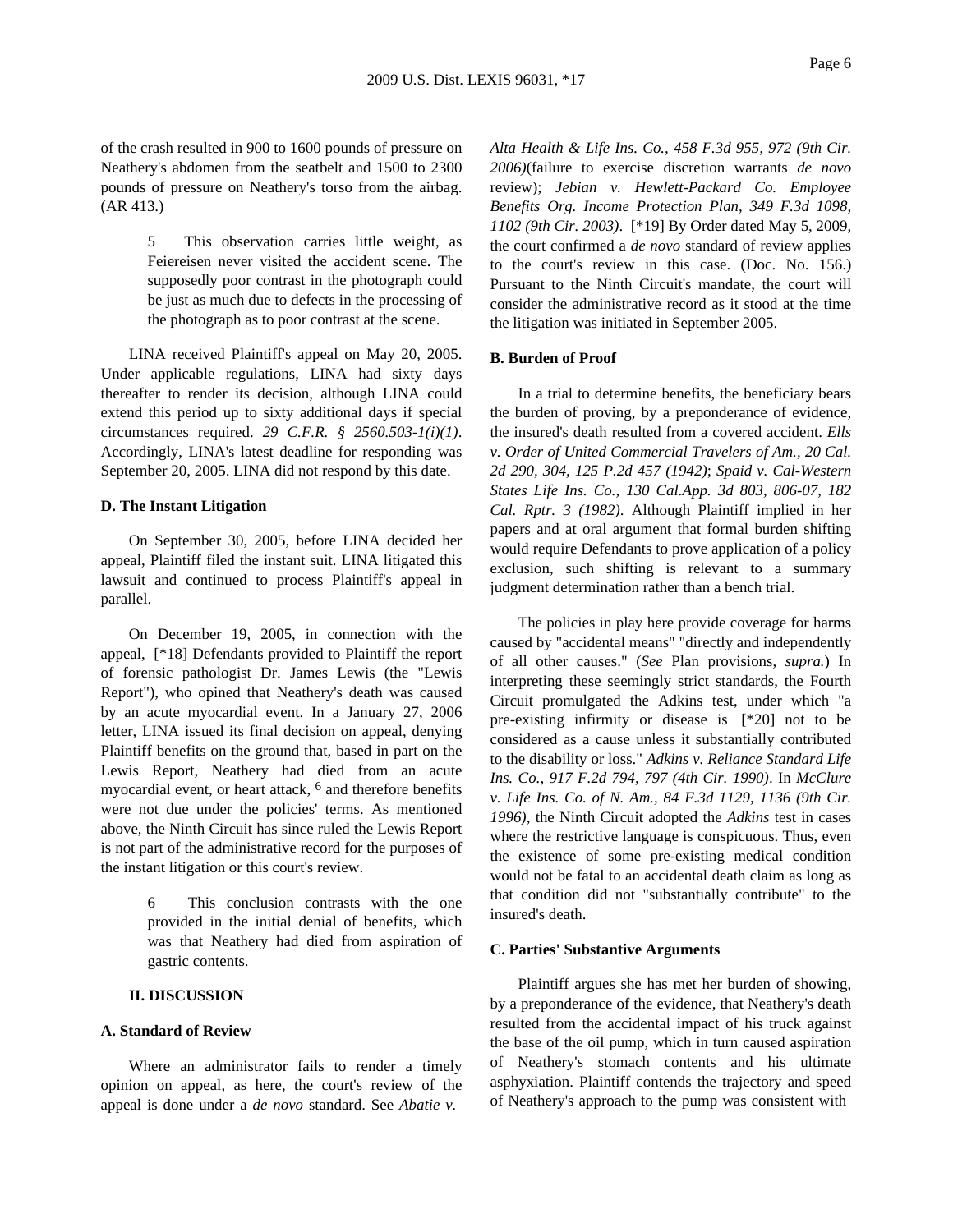of the crash resulted in 900 to 1600 pounds of pressure on Neathery's abdomen from the seatbelt and 1500 to 2300 pounds of pressure on Neathery's torso from the airbag. (AR 413.)

> 5 This observation carries little weight, as Feiereisen never visited the accident scene. The supposedly poor contrast in the photograph could be just as much due to defects in the processing of the photograph as to poor contrast at the scene.

LINA received Plaintiff's appeal on May 20, 2005. Under applicable regulations, LINA had sixty days thereafter to render its decision, although LINA could extend this period up to sixty additional days if special circumstances required. *29 C.F.R. § 2560.503-1(i)(1)*. Accordingly, LINA's latest deadline for responding was September 20, 2005. LINA did not respond by this date.

### **D. The Instant Litigation**

On September 30, 2005, before LINA decided her appeal, Plaintiff filed the instant suit. LINA litigated this lawsuit and continued to process Plaintiff's appeal in parallel.

On December 19, 2005, in connection with the appeal, [\*18] Defendants provided to Plaintiff the report of forensic pathologist Dr. James Lewis (the "Lewis Report"), who opined that Neathery's death was caused by an acute myocardial event. In a January 27, 2006 letter, LINA issued its final decision on appeal, denying Plaintiff benefits on the ground that, based in part on the Lewis Report, Neathery had died from an acute myocardial event, or heart attack, 6 and therefore benefits were not due under the policies' terms. As mentioned above, the Ninth Circuit has since ruled the Lewis Report is not part of the administrative record for the purposes of the instant litigation or this court's review.

> 6 This conclusion contrasts with the one provided in the initial denial of benefits, which was that Neathery had died from aspiration of gastric contents.

# **II. DISCUSSION**

#### **A. Standard of Review**

Where an administrator fails to render a timely opinion on appeal, as here, the court's review of the appeal is done under a *de novo* standard. See *Abatie v.*

*Alta Health & Life Ins. Co., 458 F.3d 955, 972 (9th Cir. 2006)*(failure to exercise discretion warrants *de novo* review); *Jebian v. Hewlett-Packard Co. Employee Benefits Org. Income Protection Plan, 349 F.3d 1098, 1102 (9th Cir. 2003)*. [\*19] By Order dated May 5, 2009, the court confirmed a *de novo* standard of review applies to the court's review in this case. (Doc. No. 156.) Pursuant to the Ninth Circuit's mandate, the court will consider the administrative record as it stood at the time the litigation was initiated in September 2005.

## **B. Burden of Proof**

In a trial to determine benefits, the beneficiary bears the burden of proving, by a preponderance of evidence, the insured's death resulted from a covered accident. *Ells v. Order of United Commercial Travelers of Am., 20 Cal. 2d 290, 304, 125 P.2d 457 (1942)*; *Spaid v. Cal-Western States Life Ins. Co., 130 Cal.App. 3d 803, 806-07, 182 Cal. Rptr. 3 (1982)*. Although Plaintiff implied in her papers and at oral argument that formal burden shifting would require Defendants to prove application of a policy exclusion, such shifting is relevant to a summary judgment determination rather than a bench trial.

The policies in play here provide coverage for harms caused by "accidental means" "directly and independently of all other causes." (*See* Plan provisions, *supra.*) In interpreting these seemingly strict standards, the Fourth Circuit promulgated the Adkins test, under which "a pre-existing infirmity or disease is [\*20] not to be considered as a cause unless it substantially contributed to the disability or loss." *Adkins v. Reliance Standard Life Ins. Co., 917 F.2d 794, 797 (4th Cir. 1990)*. In *McClure v. Life Ins. Co. of N. Am., 84 F.3d 1129, 1136 (9th Cir. 1996)*, the Ninth Circuit adopted the *Adkins* test in cases where the restrictive language is conspicuous. Thus, even the existence of some pre-existing medical condition would not be fatal to an accidental death claim as long as that condition did not "substantially contribute" to the insured's death.

#### **C. Parties' Substantive Arguments**

Plaintiff argues she has met her burden of showing, by a preponderance of the evidence, that Neathery's death resulted from the accidental impact of his truck against the base of the oil pump, which in turn caused aspiration of Neathery's stomach contents and his ultimate asphyxiation. Plaintiff contends the trajectory and speed of Neathery's approach to the pump was consistent with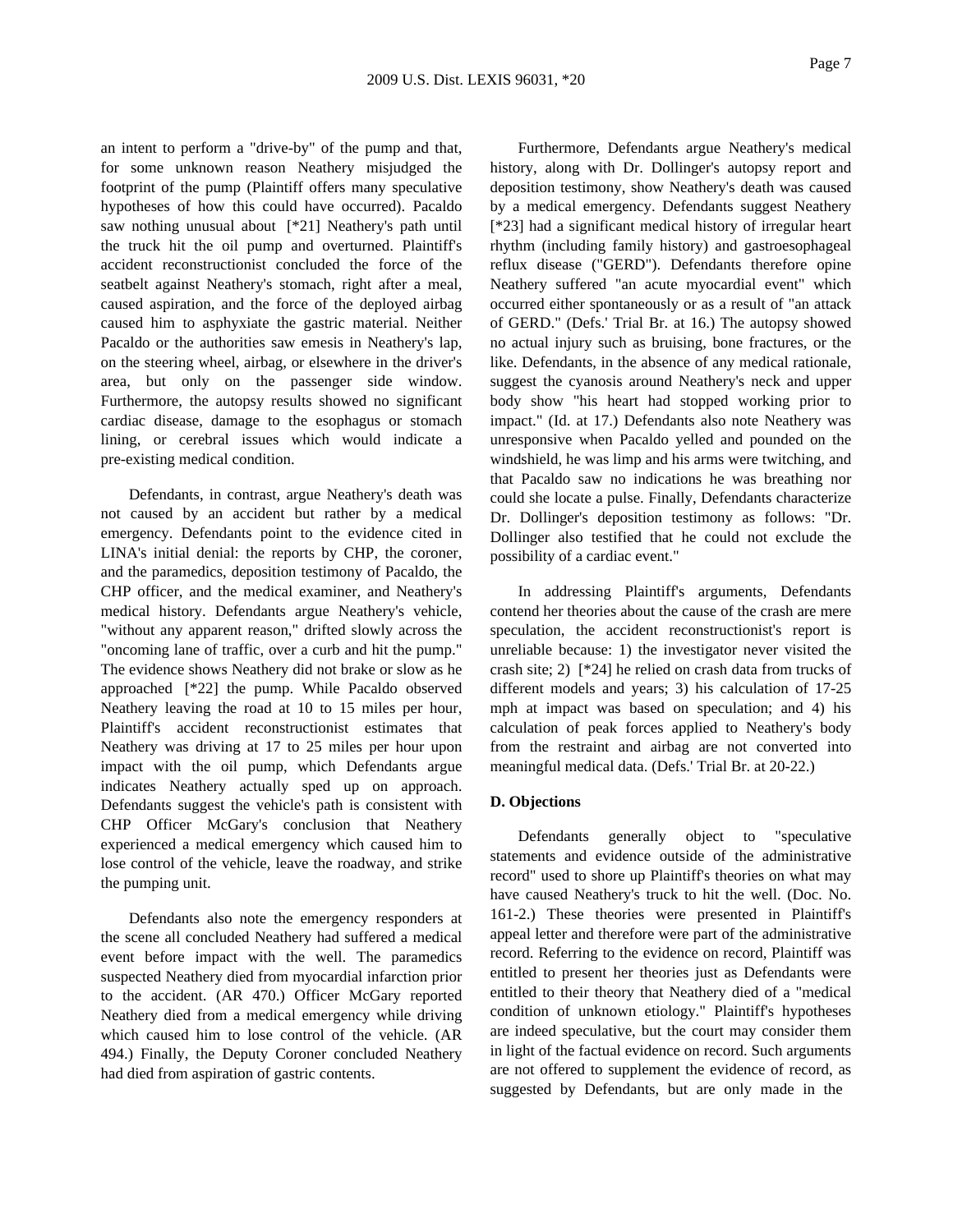an intent to perform a "drive-by" of the pump and that, for some unknown reason Neathery misjudged the footprint of the pump (Plaintiff offers many speculative hypotheses of how this could have occurred). Pacaldo saw nothing unusual about [\*21] Neathery's path until the truck hit the oil pump and overturned. Plaintiff's accident reconstructionist concluded the force of the seatbelt against Neathery's stomach, right after a meal, caused aspiration, and the force of the deployed airbag caused him to asphyxiate the gastric material. Neither Pacaldo or the authorities saw emesis in Neathery's lap, on the steering wheel, airbag, or elsewhere in the driver's area, but only on the passenger side window. Furthermore, the autopsy results showed no significant cardiac disease, damage to the esophagus or stomach lining, or cerebral issues which would indicate a pre-existing medical condition.

Defendants, in contrast, argue Neathery's death was not caused by an accident but rather by a medical emergency. Defendants point to the evidence cited in LINA's initial denial: the reports by CHP, the coroner, and the paramedics, deposition testimony of Pacaldo, the CHP officer, and the medical examiner, and Neathery's medical history. Defendants argue Neathery's vehicle, "without any apparent reason," drifted slowly across the "oncoming lane of traffic, over a curb and hit the pump." The evidence shows Neathery did not brake or slow as he approached [\*22] the pump. While Pacaldo observed Neathery leaving the road at 10 to 15 miles per hour, Plaintiff's accident reconstructionist estimates that Neathery was driving at 17 to 25 miles per hour upon impact with the oil pump, which Defendants argue indicates Neathery actually sped up on approach. Defendants suggest the vehicle's path is consistent with CHP Officer McGary's conclusion that Neathery experienced a medical emergency which caused him to lose control of the vehicle, leave the roadway, and strike the pumping unit.

Defendants also note the emergency responders at the scene all concluded Neathery had suffered a medical event before impact with the well. The paramedics suspected Neathery died from myocardial infarction prior to the accident. (AR 470.) Officer McGary reported Neathery died from a medical emergency while driving which caused him to lose control of the vehicle. (AR 494.) Finally, the Deputy Coroner concluded Neathery had died from aspiration of gastric contents.

Furthermore, Defendants argue Neathery's medical history, along with Dr. Dollinger's autopsy report and deposition testimony, show Neathery's death was caused by a medical emergency. Defendants suggest Neathery [\*23] had a significant medical history of irregular heart rhythm (including family history) and gastroesophageal reflux disease ("GERD"). Defendants therefore opine Neathery suffered "an acute myocardial event" which occurred either spontaneously or as a result of "an attack of GERD." (Defs.' Trial Br. at 16.) The autopsy showed no actual injury such as bruising, bone fractures, or the like. Defendants, in the absence of any medical rationale, suggest the cyanosis around Neathery's neck and upper body show "his heart had stopped working prior to impact." (Id. at 17.) Defendants also note Neathery was unresponsive when Pacaldo yelled and pounded on the windshield, he was limp and his arms were twitching, and that Pacaldo saw no indications he was breathing nor could she locate a pulse. Finally, Defendants characterize Dr. Dollinger's deposition testimony as follows: "Dr. Dollinger also testified that he could not exclude the possibility of a cardiac event."

In addressing Plaintiff's arguments, Defendants contend her theories about the cause of the crash are mere speculation, the accident reconstructionist's report is unreliable because: 1) the investigator never visited the crash site; 2) [\*24] he relied on crash data from trucks of different models and years; 3) his calculation of 17-25 mph at impact was based on speculation; and 4) his calculation of peak forces applied to Neathery's body from the restraint and airbag are not converted into meaningful medical data. (Defs.' Trial Br. at 20-22.)

# **D. Objections**

Defendants generally object to "speculative statements and evidence outside of the administrative record" used to shore up Plaintiff's theories on what may have caused Neathery's truck to hit the well. (Doc. No. 161-2.) These theories were presented in Plaintiff's appeal letter and therefore were part of the administrative record. Referring to the evidence on record, Plaintiff was entitled to present her theories just as Defendants were entitled to their theory that Neathery died of a "medical condition of unknown etiology." Plaintiff's hypotheses are indeed speculative, but the court may consider them in light of the factual evidence on record. Such arguments are not offered to supplement the evidence of record, as suggested by Defendants, but are only made in the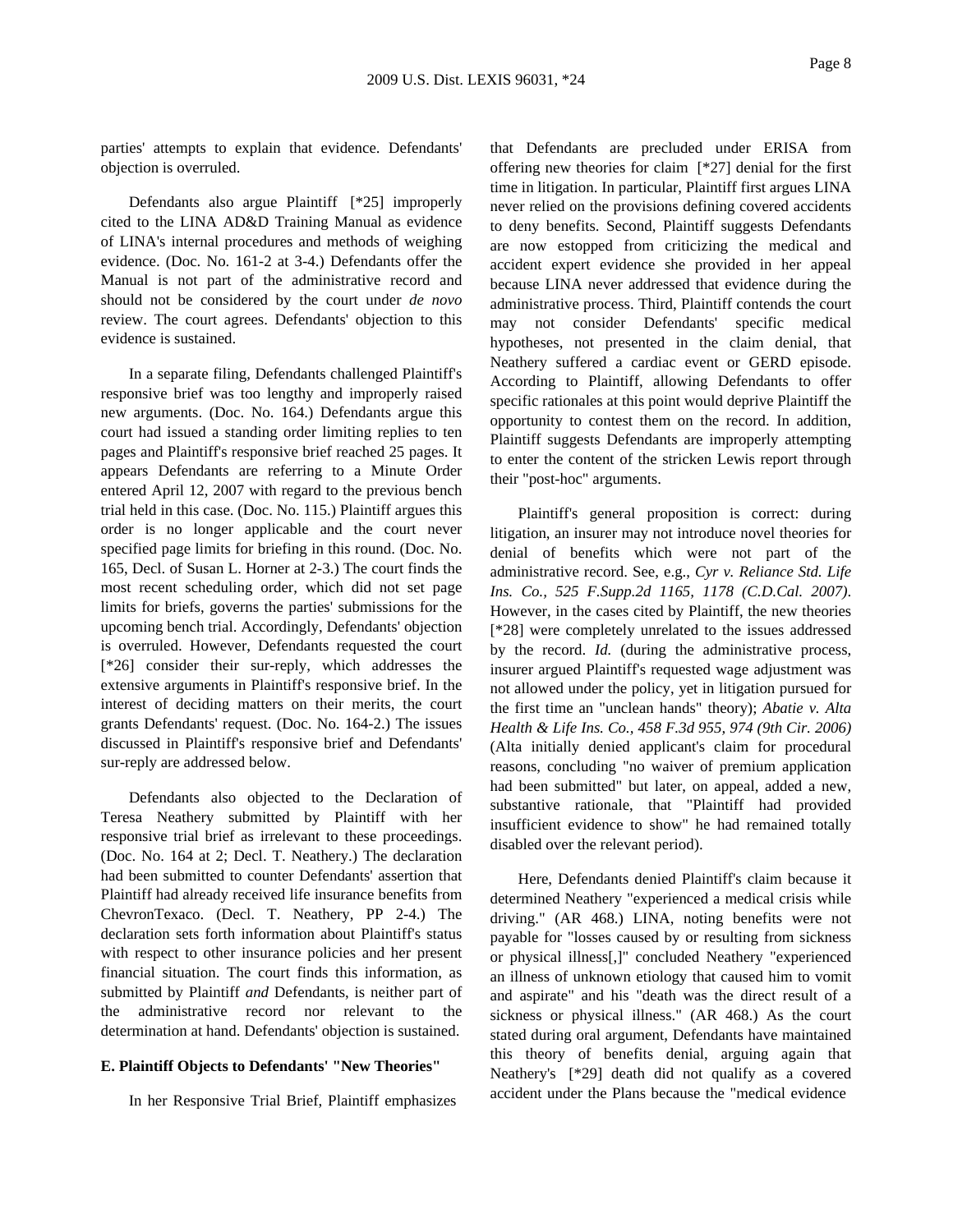parties' attempts to explain that evidence. Defendants' objection is overruled.

Defendants also argue Plaintiff [\*25] improperly cited to the LINA AD&D Training Manual as evidence of LINA's internal procedures and methods of weighing evidence. (Doc. No. 161-2 at 3-4.) Defendants offer the Manual is not part of the administrative record and should not be considered by the court under *de novo* review. The court agrees. Defendants' objection to this evidence is sustained.

In a separate filing, Defendants challenged Plaintiff's responsive brief was too lengthy and improperly raised new arguments. (Doc. No. 164.) Defendants argue this court had issued a standing order limiting replies to ten pages and Plaintiff's responsive brief reached 25 pages. It appears Defendants are referring to a Minute Order entered April 12, 2007 with regard to the previous bench trial held in this case. (Doc. No. 115.) Plaintiff argues this order is no longer applicable and the court never specified page limits for briefing in this round. (Doc. No. 165, Decl. of Susan L. Horner at 2-3.) The court finds the most recent scheduling order, which did not set page limits for briefs, governs the parties' submissions for the upcoming bench trial. Accordingly, Defendants' objection is overruled. However, Defendants requested the court [\*26] consider their sur-reply, which addresses the extensive arguments in Plaintiff's responsive brief. In the interest of deciding matters on their merits, the court grants Defendants' request. (Doc. No. 164-2.) The issues discussed in Plaintiff's responsive brief and Defendants' sur-reply are addressed below.

Defendants also objected to the Declaration of Teresa Neathery submitted by Plaintiff with her responsive trial brief as irrelevant to these proceedings. (Doc. No. 164 at 2; Decl. T. Neathery.) The declaration had been submitted to counter Defendants' assertion that Plaintiff had already received life insurance benefits from ChevronTexaco. (Decl. T. Neathery, PP 2-4.) The declaration sets forth information about Plaintiff's status with respect to other insurance policies and her present financial situation. The court finds this information, as submitted by Plaintiff *and* Defendants, is neither part of the administrative record nor relevant to the determination at hand. Defendants' objection is sustained.

#### **E. Plaintiff Objects to Defendants' "New Theories"**

In her Responsive Trial Brief, Plaintiff emphasizes

that Defendants are precluded under ERISA from offering new theories for claim [\*27] denial for the first time in litigation. In particular, Plaintiff first argues LINA never relied on the provisions defining covered accidents to deny benefits. Second, Plaintiff suggests Defendants are now estopped from criticizing the medical and accident expert evidence she provided in her appeal because LINA never addressed that evidence during the administrative process. Third, Plaintiff contends the court may not consider Defendants' specific medical hypotheses, not presented in the claim denial, that Neathery suffered a cardiac event or GERD episode. According to Plaintiff, allowing Defendants to offer specific rationales at this point would deprive Plaintiff the opportunity to contest them on the record. In addition, Plaintiff suggests Defendants are improperly attempting to enter the content of the stricken Lewis report through their "post-hoc" arguments.

Plaintiff's general proposition is correct: during litigation, an insurer may not introduce novel theories for denial of benefits which were not part of the administrative record. See, e.g., *Cyr v. Reliance Std. Life Ins. Co., 525 F.Supp.2d 1165, 1178 (C.D.Cal. 2007)*. However, in the cases cited by Plaintiff, the new theories [\*28] were completely unrelated to the issues addressed by the record. *Id.* (during the administrative process, insurer argued Plaintiff's requested wage adjustment was not allowed under the policy, yet in litigation pursued for the first time an "unclean hands" theory); *Abatie v. Alta Health & Life Ins. Co., 458 F.3d 955, 974 (9th Cir. 2006)* (Alta initially denied applicant's claim for procedural reasons, concluding "no waiver of premium application had been submitted" but later, on appeal, added a new, substantive rationale, that "Plaintiff had provided insufficient evidence to show" he had remained totally disabled over the relevant period).

Here, Defendants denied Plaintiff's claim because it determined Neathery "experienced a medical crisis while driving." (AR 468.) LINA, noting benefits were not payable for "losses caused by or resulting from sickness or physical illness[,]" concluded Neathery "experienced an illness of unknown etiology that caused him to vomit and aspirate" and his "death was the direct result of a sickness or physical illness." (AR 468.) As the court stated during oral argument, Defendants have maintained this theory of benefits denial, arguing again that Neathery's [\*29] death did not qualify as a covered accident under the Plans because the "medical evidence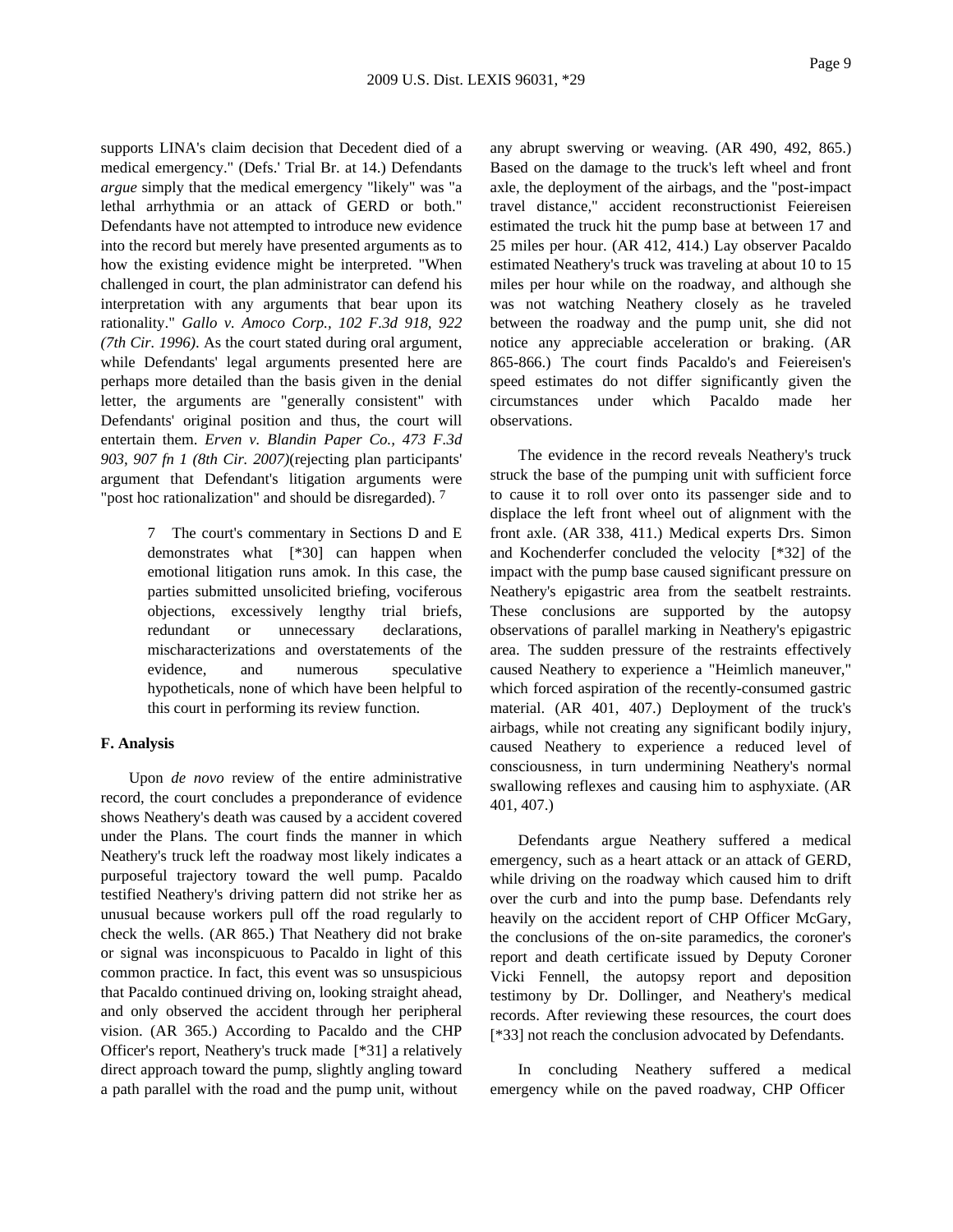supports LINA's claim decision that Decedent died of a medical emergency." (Defs.' Trial Br. at 14.) Defendants *argue* simply that the medical emergency "likely" was "a lethal arrhythmia or an attack of GERD or both." Defendants have not attempted to introduce new evidence into the record but merely have presented arguments as to how the existing evidence might be interpreted. "When challenged in court, the plan administrator can defend his interpretation with any arguments that bear upon its rationality." *Gallo v. Amoco Corp., 102 F.3d 918, 922 (7th Cir. 1996)*. As the court stated during oral argument, while Defendants' legal arguments presented here are perhaps more detailed than the basis given in the denial letter, the arguments are "generally consistent" with Defendants' original position and thus, the court will entertain them. *Erven v. Blandin Paper Co., 473 F.3d 903, 907 fn 1 (8th Cir. 2007)*(rejecting plan participants' argument that Defendant's litigation arguments were "post hoc rationalization" and should be disregarded).  $7$ 

> 7 The court's commentary in Sections D and E demonstrates what [\*30] can happen when emotional litigation runs amok. In this case, the parties submitted unsolicited briefing, vociferous objections, excessively lengthy trial briefs, redundant or unnecessary declarations, mischaracterizations and overstatements of the evidence, and numerous speculative hypotheticals, none of which have been helpful to this court in performing its review function.

### **F. Analysis**

Upon *de novo* review of the entire administrative record, the court concludes a preponderance of evidence shows Neathery's death was caused by a accident covered under the Plans. The court finds the manner in which Neathery's truck left the roadway most likely indicates a purposeful trajectory toward the well pump. Pacaldo testified Neathery's driving pattern did not strike her as unusual because workers pull off the road regularly to check the wells. (AR 865.) That Neathery did not brake or signal was inconspicuous to Pacaldo in light of this common practice. In fact, this event was so unsuspicious that Pacaldo continued driving on, looking straight ahead, and only observed the accident through her peripheral vision. (AR 365.) According to Pacaldo and the CHP Officer's report, Neathery's truck made [\*31] a relatively direct approach toward the pump, slightly angling toward a path parallel with the road and the pump unit, without

any abrupt swerving or weaving. (AR 490, 492, 865.) Based on the damage to the truck's left wheel and front axle, the deployment of the airbags, and the "post-impact travel distance," accident reconstructionist Feiereisen estimated the truck hit the pump base at between 17 and 25 miles per hour. (AR 412, 414.) Lay observer Pacaldo estimated Neathery's truck was traveling at about 10 to 15 miles per hour while on the roadway, and although she was not watching Neathery closely as he traveled between the roadway and the pump unit, she did not notice any appreciable acceleration or braking. (AR 865-866.) The court finds Pacaldo's and Feiereisen's speed estimates do not differ significantly given the circumstances under which Pacaldo made her observations.

The evidence in the record reveals Neathery's truck struck the base of the pumping unit with sufficient force to cause it to roll over onto its passenger side and to displace the left front wheel out of alignment with the front axle. (AR 338, 411.) Medical experts Drs. Simon and Kochenderfer concluded the velocity [\*32] of the impact with the pump base caused significant pressure on Neathery's epigastric area from the seatbelt restraints. These conclusions are supported by the autopsy observations of parallel marking in Neathery's epigastric area. The sudden pressure of the restraints effectively caused Neathery to experience a "Heimlich maneuver," which forced aspiration of the recently-consumed gastric material. (AR 401, 407.) Deployment of the truck's airbags, while not creating any significant bodily injury, caused Neathery to experience a reduced level of consciousness, in turn undermining Neathery's normal swallowing reflexes and causing him to asphyxiate. (AR 401, 407.)

Defendants argue Neathery suffered a medical emergency, such as a heart attack or an attack of GERD, while driving on the roadway which caused him to drift over the curb and into the pump base. Defendants rely heavily on the accident report of CHP Officer McGary, the conclusions of the on-site paramedics, the coroner's report and death certificate issued by Deputy Coroner Vicki Fennell, the autopsy report and deposition testimony by Dr. Dollinger, and Neathery's medical records. After reviewing these resources, the court does [\*33] not reach the conclusion advocated by Defendants.

In concluding Neathery suffered a medical emergency while on the paved roadway, CHP Officer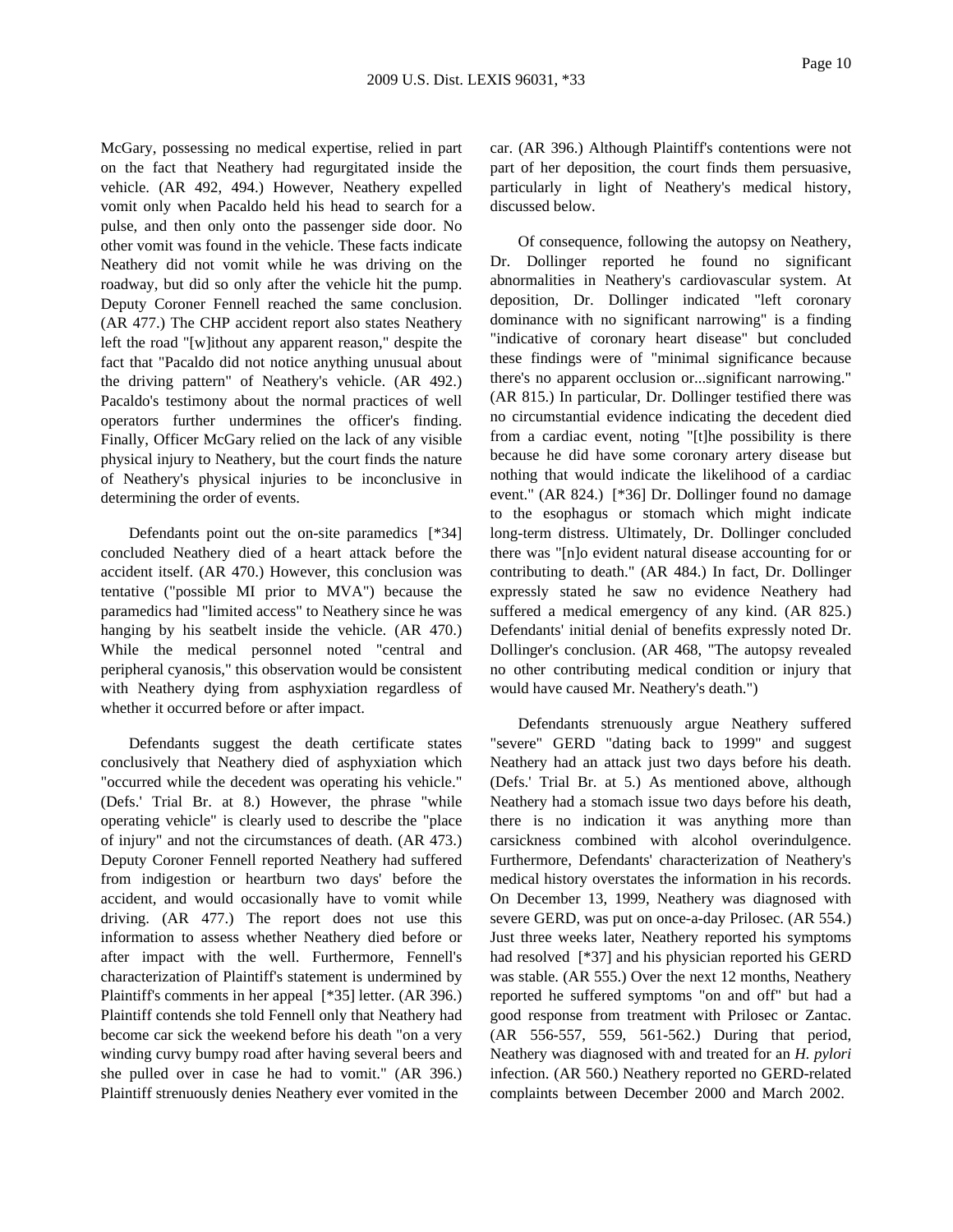McGary, possessing no medical expertise, relied in part on the fact that Neathery had regurgitated inside the vehicle. (AR 492, 494.) However, Neathery expelled vomit only when Pacaldo held his head to search for a pulse, and then only onto the passenger side door. No other vomit was found in the vehicle. These facts indicate Neathery did not vomit while he was driving on the roadway, but did so only after the vehicle hit the pump. Deputy Coroner Fennell reached the same conclusion. (AR 477.) The CHP accident report also states Neathery left the road "[w]ithout any apparent reason," despite the fact that "Pacaldo did not notice anything unusual about the driving pattern" of Neathery's vehicle. (AR 492.) Pacaldo's testimony about the normal practices of well operators further undermines the officer's finding. Finally, Officer McGary relied on the lack of any visible physical injury to Neathery, but the court finds the nature of Neathery's physical injuries to be inconclusive in determining the order of events.

Defendants point out the on-site paramedics [\*34] concluded Neathery died of a heart attack before the accident itself. (AR 470.) However, this conclusion was tentative ("possible MI prior to MVA") because the paramedics had "limited access" to Neathery since he was hanging by his seatbelt inside the vehicle. (AR 470.) While the medical personnel noted "central and peripheral cyanosis," this observation would be consistent with Neathery dying from asphyxiation regardless of whether it occurred before or after impact.

Defendants suggest the death certificate states conclusively that Neathery died of asphyxiation which "occurred while the decedent was operating his vehicle." (Defs.' Trial Br. at 8.) However, the phrase "while operating vehicle" is clearly used to describe the "place of injury" and not the circumstances of death. (AR 473.) Deputy Coroner Fennell reported Neathery had suffered from indigestion or heartburn two days' before the accident, and would occasionally have to vomit while driving. (AR 477.) The report does not use this information to assess whether Neathery died before or after impact with the well. Furthermore, Fennell's characterization of Plaintiff's statement is undermined by Plaintiff's comments in her appeal [\*35] letter. (AR 396.) Plaintiff contends she told Fennell only that Neathery had become car sick the weekend before his death "on a very winding curvy bumpy road after having several beers and she pulled over in case he had to vomit." (AR 396.) Plaintiff strenuously denies Neathery ever vomited in the

car. (AR 396.) Although Plaintiff's contentions were not part of her deposition, the court finds them persuasive, particularly in light of Neathery's medical history, discussed below.

Of consequence, following the autopsy on Neathery, Dr. Dollinger reported he found no significant abnormalities in Neathery's cardiovascular system. At deposition, Dr. Dollinger indicated "left coronary dominance with no significant narrowing" is a finding "indicative of coronary heart disease" but concluded these findings were of "minimal significance because there's no apparent occlusion or...significant narrowing." (AR 815.) In particular, Dr. Dollinger testified there was no circumstantial evidence indicating the decedent died from a cardiac event, noting "[t]he possibility is there because he did have some coronary artery disease but nothing that would indicate the likelihood of a cardiac event." (AR 824.) [\*36] Dr. Dollinger found no damage to the esophagus or stomach which might indicate long-term distress. Ultimately, Dr. Dollinger concluded there was "[n]o evident natural disease accounting for or contributing to death." (AR 484.) In fact, Dr. Dollinger expressly stated he saw no evidence Neathery had suffered a medical emergency of any kind. (AR 825.) Defendants' initial denial of benefits expressly noted Dr. Dollinger's conclusion. (AR 468, "The autopsy revealed no other contributing medical condition or injury that would have caused Mr. Neathery's death.")

Defendants strenuously argue Neathery suffered "severe" GERD "dating back to 1999" and suggest Neathery had an attack just two days before his death. (Defs.' Trial Br. at 5.) As mentioned above, although Neathery had a stomach issue two days before his death, there is no indication it was anything more than carsickness combined with alcohol overindulgence. Furthermore, Defendants' characterization of Neathery's medical history overstates the information in his records. On December 13, 1999, Neathery was diagnosed with severe GERD, was put on once-a-day Prilosec. (AR 554.) Just three weeks later, Neathery reported his symptoms had resolved [\*37] and his physician reported his GERD was stable. (AR 555.) Over the next 12 months, Neathery reported he suffered symptoms "on and off" but had a good response from treatment with Prilosec or Zantac. (AR 556-557, 559, 561-562.) During that period, Neathery was diagnosed with and treated for an *H. pylori* infection. (AR 560.) Neathery reported no GERD-related complaints between December 2000 and March 2002.